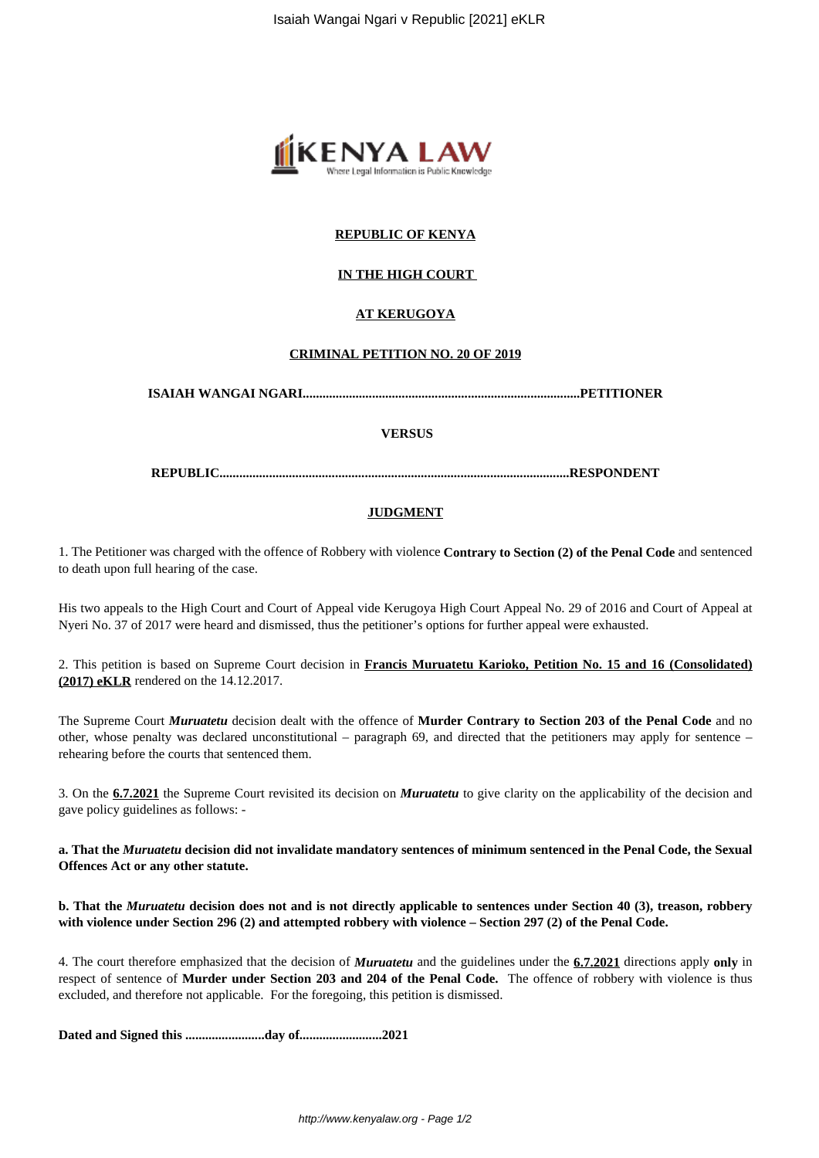

## **REPUBLIC OF KENYA**

## **IN THE HIGH COURT**

## **AT KERUGOYA**

#### **CRIMINAL PETITION NO. 20 OF 2019**

**ISAIAH WANGAI NGARI....................................................................................PETITIONER**

## **VERSUS**

**REPUBLIC..........................................................................................................RESPONDENT**

#### **JUDGMENT**

1. The Petitioner was charged with the offence of Robbery with violence **Contrary to Section (2) of the Penal Code** and sentenced to death upon full hearing of the case.

His two appeals to the High Court and Court of Appeal vide Kerugoya High Court Appeal No. 29 of 2016 and Court of Appeal at Nyeri No. 37 of 2017 were heard and dismissed, thus the petitioner's options for further appeal were exhausted.

2. This petition is based on Supreme Court decision in **Francis Muruatetu Karioko, Petition No. 15 and 16 (Consolidated) (2017) eKLR** rendered on the 14.12.2017.

The Supreme Court *Muruatetu* decision dealt with the offence of **Murder Contrary to Section 203 of the Penal Code** and no other, whose penalty was declared unconstitutional – paragraph 69, and directed that the petitioners may apply for sentence – rehearing before the courts that sentenced them.

3. On the **6.7.2021** the Supreme Court revisited its decision on *Muruatetu* to give clarity on the applicability of the decision and gave policy guidelines as follows: -

**a. That the** *Muruatetu* **decision did not invalidate mandatory sentences of minimum sentenced in the Penal Code, the Sexual Offences Act or any other statute.**

**b. That the** *Muruatetu* **decision does not and is not directly applicable to sentences under Section 40 (3), treason, robbery with violence under Section 296 (2) and attempted robbery with violence – Section 297 (2) of the Penal Code.**

4. The court therefore emphasized that the decision of *Muruatetu* and the guidelines under the **6.7.2021** directions apply **only** in respect of sentence of **Murder under Section 203 and 204 of the Penal Code.** The offence of robbery with violence is thus excluded, and therefore not applicable. For the foregoing, this petition is dismissed.

**Dated and Signed this ........................day of.........................2021**